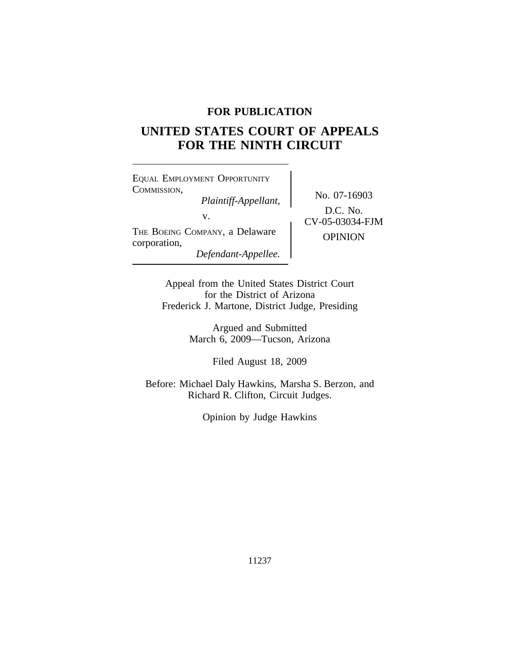## **FOR PUBLICATION**

# **UNITED STATES COURT OF APPEALS FOR THE NINTH CIRCUIT**

<sup>E</sup>QUAL EMPLOYMENT OPPORTUNITY COMMISSION, No. 07-16903 *Plaintiff-Appellant,* v.  $CV-05-03034-FJM$ THE BOEING COMPANY, a Delaware OPINION corporation, *Defendant-Appellee.*

D.C. No.

Appeal from the United States District Court for the District of Arizona Frederick J. Martone, District Judge, Presiding

> Argued and Submitted March 6, 2009—Tucson, Arizona

> > Filed August 18, 2009

Before: Michael Daly Hawkins, Marsha S. Berzon, and Richard R. Clifton, Circuit Judges.

Opinion by Judge Hawkins

11237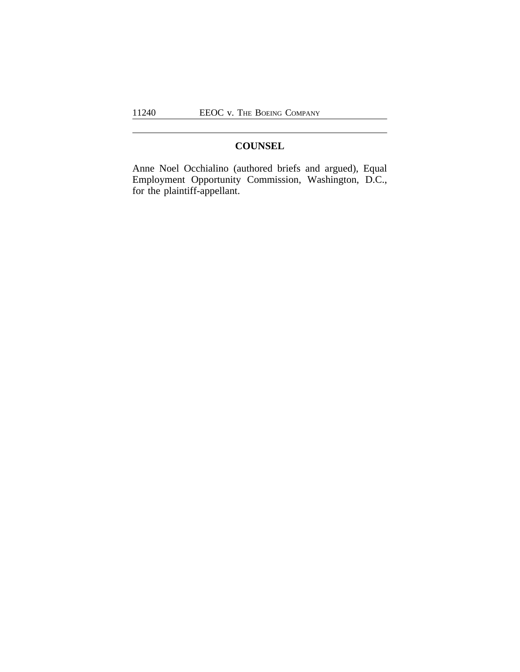## **COUNSEL**

Anne Noel Occhialino (authored briefs and argued), Equal Employment Opportunity Commission, Washington, D.C., for the plaintiff-appellant.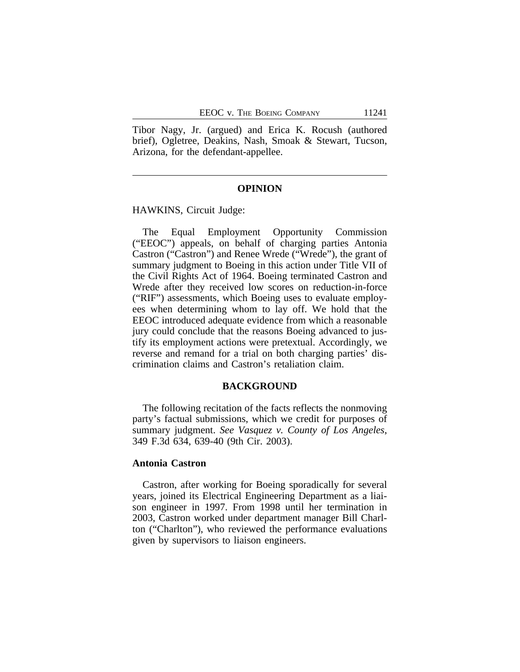Tibor Nagy, Jr. (argued) and Erica K. Rocush (authored brief), Ogletree, Deakins, Nash, Smoak & Stewart, Tucson, Arizona, for the defendant-appellee.

### **OPINION**

HAWKINS, Circuit Judge:

The Equal Employment Opportunity Commission ("EEOC") appeals, on behalf of charging parties Antonia Castron ("Castron") and Renee Wrede ("Wrede"), the grant of summary judgment to Boeing in this action under Title VII of the Civil Rights Act of 1964. Boeing terminated Castron and Wrede after they received low scores on reduction-in-force ("RIF") assessments, which Boeing uses to evaluate employees when determining whom to lay off. We hold that the EEOC introduced adequate evidence from which a reasonable jury could conclude that the reasons Boeing advanced to justify its employment actions were pretextual. Accordingly, we reverse and remand for a trial on both charging parties' discrimination claims and Castron's retaliation claim.

#### **BACKGROUND**

The following recitation of the facts reflects the nonmoving party's factual submissions, which we credit for purposes of summary judgment. *See Vasquez v. County of Los Angeles*, 349 F.3d 634, 639-40 (9th Cir. 2003).

#### **Antonia Castron**

Castron, after working for Boeing sporadically for several years, joined its Electrical Engineering Department as a liaison engineer in 1997. From 1998 until her termination in 2003, Castron worked under department manager Bill Charlton ("Charlton"), who reviewed the performance evaluations given by supervisors to liaison engineers.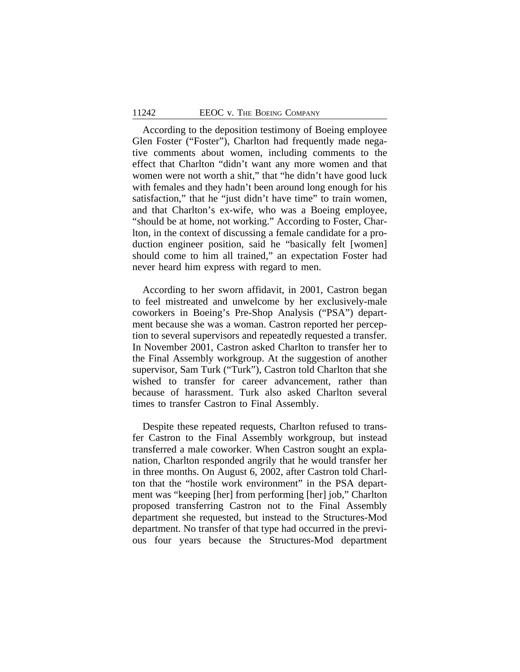According to the deposition testimony of Boeing employee Glen Foster ("Foster"), Charlton had frequently made negative comments about women, including comments to the effect that Charlton "didn't want any more women and that women were not worth a shit," that "he didn't have good luck with females and they hadn't been around long enough for his satisfaction," that he "just didn't have time" to train women, and that Charlton's ex-wife, who was a Boeing employee, "should be at home, not working." According to Foster, Charlton, in the context of discussing a female candidate for a production engineer position, said he "basically felt [women] should come to him all trained," an expectation Foster had never heard him express with regard to men.

According to her sworn affidavit, in 2001, Castron began to feel mistreated and unwelcome by her exclusively-male coworkers in Boeing's Pre-Shop Analysis ("PSA") department because she was a woman. Castron reported her perception to several supervisors and repeatedly requested a transfer. In November 2001, Castron asked Charlton to transfer her to the Final Assembly workgroup. At the suggestion of another supervisor, Sam Turk ("Turk"), Castron told Charlton that she wished to transfer for career advancement, rather than because of harassment. Turk also asked Charlton several times to transfer Castron to Final Assembly.

Despite these repeated requests, Charlton refused to transfer Castron to the Final Assembly workgroup, but instead transferred a male coworker. When Castron sought an explanation, Charlton responded angrily that he would transfer her in three months. On August 6, 2002, after Castron told Charlton that the "hostile work environment" in the PSA department was "keeping [her] from performing [her] job," Charlton proposed transferring Castron not to the Final Assembly department she requested, but instead to the Structures-Mod department. No transfer of that type had occurred in the previous four years because the Structures-Mod department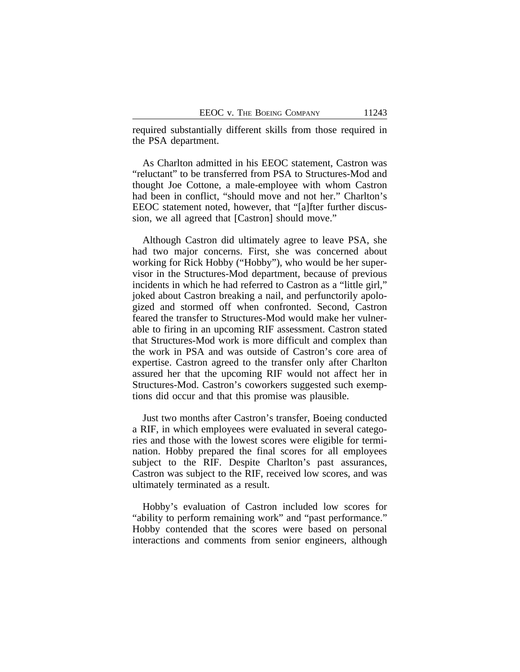required substantially different skills from those required in the PSA department.

As Charlton admitted in his EEOC statement, Castron was "reluctant" to be transferred from PSA to Structures-Mod and thought Joe Cottone, a male-employee with whom Castron had been in conflict, "should move and not her." Charlton's EEOC statement noted, however, that "[a]fter further discussion, we all agreed that [Castron] should move."

Although Castron did ultimately agree to leave PSA, she had two major concerns. First, she was concerned about working for Rick Hobby ("Hobby"), who would be her supervisor in the Structures-Mod department, because of previous incidents in which he had referred to Castron as a "little girl," joked about Castron breaking a nail, and perfunctorily apologized and stormed off when confronted. Second, Castron feared the transfer to Structures-Mod would make her vulnerable to firing in an upcoming RIF assessment. Castron stated that Structures-Mod work is more difficult and complex than the work in PSA and was outside of Castron's core area of expertise. Castron agreed to the transfer only after Charlton assured her that the upcoming RIF would not affect her in Structures-Mod. Castron's coworkers suggested such exemptions did occur and that this promise was plausible.

Just two months after Castron's transfer, Boeing conducted a RIF, in which employees were evaluated in several categories and those with the lowest scores were eligible for termination. Hobby prepared the final scores for all employees subject to the RIF. Despite Charlton's past assurances, Castron was subject to the RIF, received low scores, and was ultimately terminated as a result.

Hobby's evaluation of Castron included low scores for "ability to perform remaining work" and "past performance." Hobby contended that the scores were based on personal interactions and comments from senior engineers, although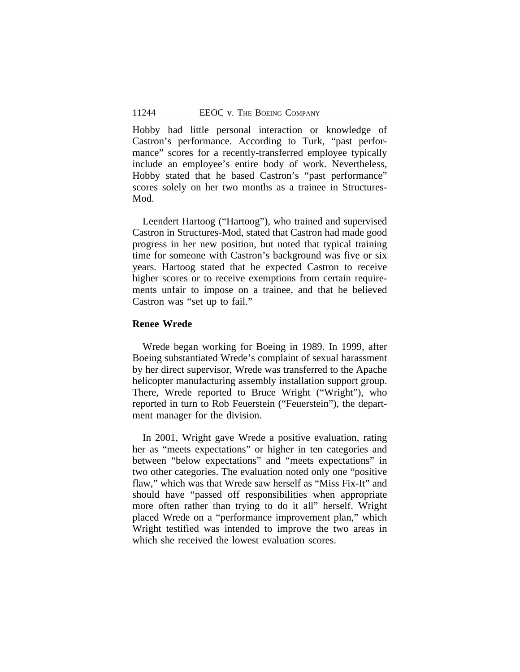Hobby had little personal interaction or knowledge of Castron's performance. According to Turk, "past performance" scores for a recently-transferred employee typically include an employee's entire body of work. Nevertheless, Hobby stated that he based Castron's "past performance" scores solely on her two months as a trainee in Structures-Mod.

Leendert Hartoog ("Hartoog"), who trained and supervised Castron in Structures-Mod, stated that Castron had made good progress in her new position, but noted that typical training time for someone with Castron's background was five or six years. Hartoog stated that he expected Castron to receive higher scores or to receive exemptions from certain requirements unfair to impose on a trainee, and that he believed Castron was "set up to fail."

## **Renee Wrede**

Wrede began working for Boeing in 1989. In 1999, after Boeing substantiated Wrede's complaint of sexual harassment by her direct supervisor, Wrede was transferred to the Apache helicopter manufacturing assembly installation support group. There, Wrede reported to Bruce Wright ("Wright"), who reported in turn to Rob Feuerstein ("Feuerstein"), the department manager for the division.

In 2001, Wright gave Wrede a positive evaluation, rating her as "meets expectations" or higher in ten categories and between "below expectations" and "meets expectations" in two other categories. The evaluation noted only one "positive flaw," which was that Wrede saw herself as "Miss Fix-It" and should have "passed off responsibilities when appropriate more often rather than trying to do it all" herself. Wright placed Wrede on a "performance improvement plan," which Wright testified was intended to improve the two areas in which she received the lowest evaluation scores.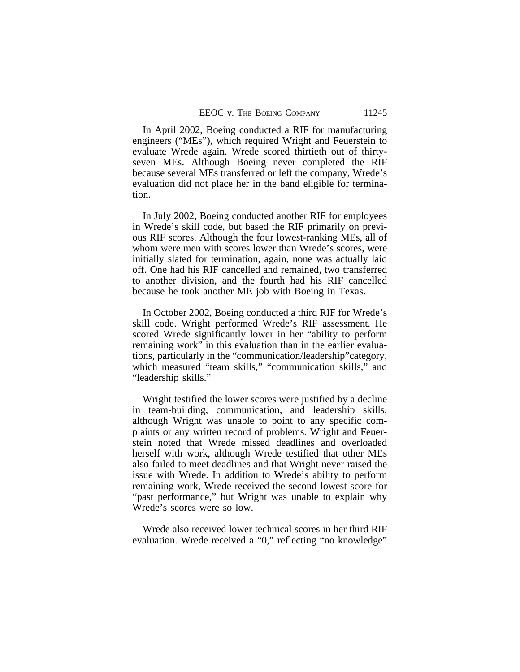In April 2002, Boeing conducted a RIF for manufacturing engineers ("MEs"), which required Wright and Feuerstein to evaluate Wrede again. Wrede scored thirtieth out of thirtyseven MEs. Although Boeing never completed the RIF because several MEs transferred or left the company, Wrede's evaluation did not place her in the band eligible for termination.

In July 2002, Boeing conducted another RIF for employees in Wrede's skill code, but based the RIF primarily on previous RIF scores. Although the four lowest-ranking MEs, all of whom were men with scores lower than Wrede's scores, were initially slated for termination, again, none was actually laid off. One had his RIF cancelled and remained, two transferred to another division, and the fourth had his RIF cancelled because he took another ME job with Boeing in Texas.

In October 2002, Boeing conducted a third RIF for Wrede's skill code. Wright performed Wrede's RIF assessment. He scored Wrede significantly lower in her "ability to perform remaining work" in this evaluation than in the earlier evaluations, particularly in the "communication/leadership"category, which measured "team skills," "communication skills," and "leadership skills."

Wright testified the lower scores were justified by a decline in team-building, communication, and leadership skills, although Wright was unable to point to any specific complaints or any written record of problems. Wright and Feuerstein noted that Wrede missed deadlines and overloaded herself with work, although Wrede testified that other MEs also failed to meet deadlines and that Wright never raised the issue with Wrede. In addition to Wrede's ability to perform remaining work, Wrede received the second lowest score for "past performance," but Wright was unable to explain why Wrede's scores were so low.

Wrede also received lower technical scores in her third RIF evaluation. Wrede received a "0," reflecting "no knowledge"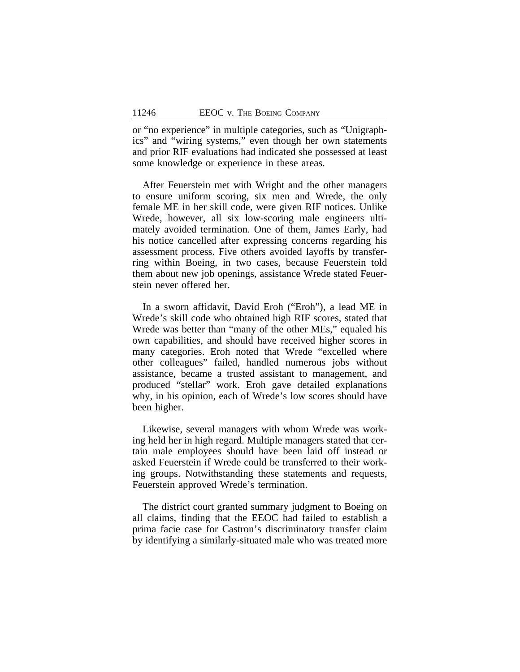or "no experience" in multiple categories, such as "Unigraphics" and "wiring systems," even though her own statements and prior RIF evaluations had indicated she possessed at least some knowledge or experience in these areas.

After Feuerstein met with Wright and the other managers to ensure uniform scoring, six men and Wrede, the only female ME in her skill code, were given RIF notices. Unlike Wrede, however, all six low-scoring male engineers ultimately avoided termination. One of them, James Early, had his notice cancelled after expressing concerns regarding his assessment process. Five others avoided layoffs by transferring within Boeing, in two cases, because Feuerstein told them about new job openings, assistance Wrede stated Feuerstein never offered her.

In a sworn affidavit, David Eroh ("Eroh"), a lead ME in Wrede's skill code who obtained high RIF scores, stated that Wrede was better than "many of the other MEs," equaled his own capabilities, and should have received higher scores in many categories. Eroh noted that Wrede "excelled where other colleagues" failed, handled numerous jobs without assistance, became a trusted assistant to management, and produced "stellar" work. Eroh gave detailed explanations why, in his opinion, each of Wrede's low scores should have been higher.

Likewise, several managers with whom Wrede was working held her in high regard. Multiple managers stated that certain male employees should have been laid off instead or asked Feuerstein if Wrede could be transferred to their working groups. Notwithstanding these statements and requests, Feuerstein approved Wrede's termination.

The district court granted summary judgment to Boeing on all claims, finding that the EEOC had failed to establish a prima facie case for Castron's discriminatory transfer claim by identifying a similarly-situated male who was treated more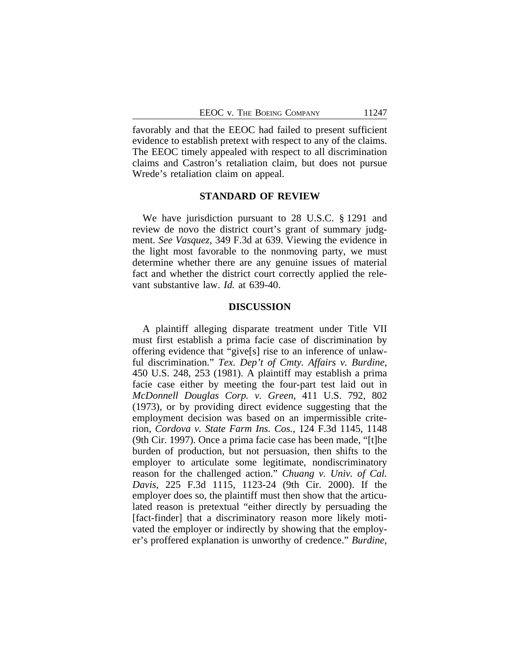favorably and that the EEOC had failed to present sufficient evidence to establish pretext with respect to any of the claims. The EEOC timely appealed with respect to all discrimination claims and Castron's retaliation claim, but does not pursue Wrede's retaliation claim on appeal.

## **STANDARD OF REVIEW**

We have jurisdiction pursuant to 28 U.S.C. § 1291 and review de novo the district court's grant of summary judgment. *See Vasquez*, 349 F.3d at 639. Viewing the evidence in the light most favorable to the nonmoving party, we must determine whether there are any genuine issues of material fact and whether the district court correctly applied the relevant substantive law. *Id.* at 639-40.

#### **DISCUSSION**

A plaintiff alleging disparate treatment under Title VII must first establish a prima facie case of discrimination by offering evidence that "give[s] rise to an inference of unlawful discrimination." *Tex. Dep't of Cmty. Affairs v. Burdine*, 450 U.S. 248, 253 (1981). A plaintiff may establish a prima facie case either by meeting the four-part test laid out in *McDonnell Douglas Corp. v. Green*, 411 U.S. 792, 802 (1973), or by providing direct evidence suggesting that the employment decision was based on an impermissible criterion, *Cordova v. State Farm Ins. Cos.*, 124 F.3d 1145, 1148 (9th Cir. 1997). Once a prima facie case has been made, "[t]he burden of production, but not persuasion, then shifts to the employer to articulate some legitimate, nondiscriminatory reason for the challenged action." *Chuang v. Univ. of Cal. Davis*, 225 F.3d 1115, 1123-24 (9th Cir. 2000). If the employer does so, the plaintiff must then show that the articulated reason is pretextual "either directly by persuading the [fact-finder] that a discriminatory reason more likely motivated the employer or indirectly by showing that the employer's proffered explanation is unworthy of credence." *Burdine*,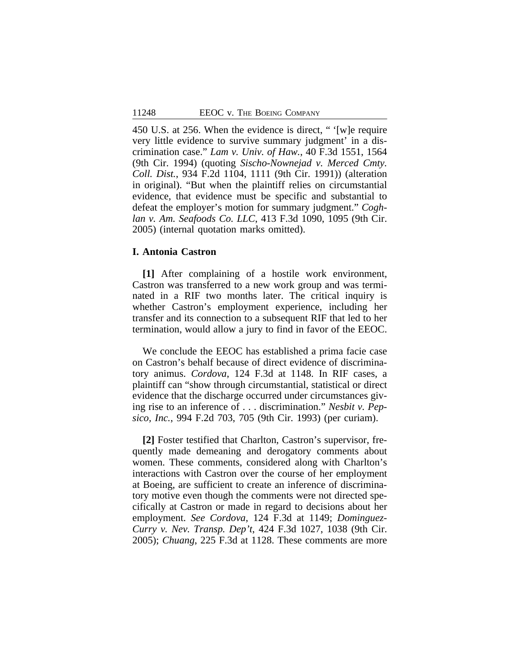450 U.S. at 256. When the evidence is direct, " '[w]e require very little evidence to survive summary judgment' in a discrimination case." *Lam v. Univ. of Haw.*, 40 F.3d 1551, 1564 (9th Cir. 1994) (quoting *Sischo-Nownejad v. Merced Cmty. Coll. Dist.*, 934 F.2d 1104, 1111 (9th Cir. 1991)) (alteration in original). "But when the plaintiff relies on circumstantial evidence, that evidence must be specific and substantial to defeat the employer's motion for summary judgment." *Coghlan v. Am. Seafoods Co. LLC*, 413 F.3d 1090, 1095 (9th Cir. 2005) (internal quotation marks omitted).

## **I. Antonia Castron**

**[1]** After complaining of a hostile work environment, Castron was transferred to a new work group and was terminated in a RIF two months later. The critical inquiry is whether Castron's employment experience, including her transfer and its connection to a subsequent RIF that led to her termination, would allow a jury to find in favor of the EEOC.

We conclude the EEOC has established a prima facie case on Castron's behalf because of direct evidence of discriminatory animus. *Cordova*, 124 F.3d at 1148. In RIF cases, a plaintiff can "show through circumstantial, statistical or direct evidence that the discharge occurred under circumstances giving rise to an inference of . . . discrimination." *Nesbit v. Pepsico, Inc.*, 994 F.2d 703, 705 (9th Cir. 1993) (per curiam).

**[2]** Foster testified that Charlton, Castron's supervisor, frequently made demeaning and derogatory comments about women. These comments, considered along with Charlton's interactions with Castron over the course of her employment at Boeing, are sufficient to create an inference of discriminatory motive even though the comments were not directed specifically at Castron or made in regard to decisions about her employment. *See Cordova*, 124 F.3d at 1149; *Dominguez-Curry v. Nev. Transp. Dep't*, 424 F.3d 1027, 1038 (9th Cir. 2005); *Chuang*, 225 F.3d at 1128. These comments are more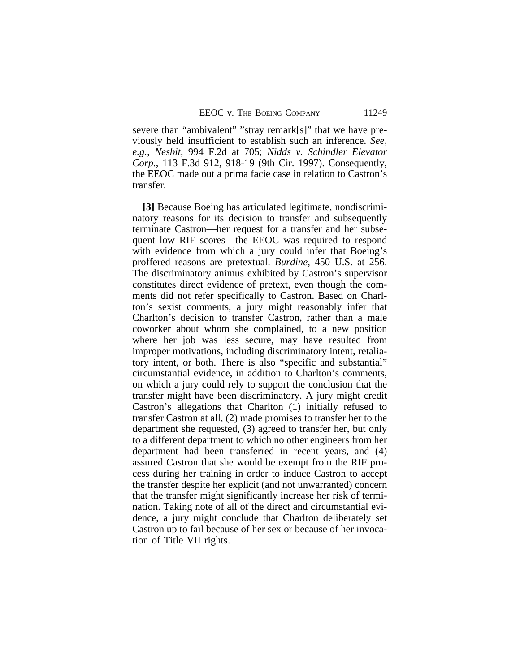severe than "ambivalent" "stray remark[s]" that we have previously held insufficient to establish such an inference. *See, e.g.*, *Nesbit*, 994 F.2d at 705; *Nidds v. Schindler Elevator Corp.*, 113 F.3d 912, 918-19 (9th Cir. 1997). Consequently, the EEOC made out a prima facie case in relation to Castron's transfer.

**[3]** Because Boeing has articulated legitimate, nondiscriminatory reasons for its decision to transfer and subsequently terminate Castron—her request for a transfer and her subsequent low RIF scores—the EEOC was required to respond with evidence from which a jury could infer that Boeing's proffered reasons are pretextual. *Burdine*, 450 U.S. at 256. The discriminatory animus exhibited by Castron's supervisor constitutes direct evidence of pretext, even though the comments did not refer specifically to Castron. Based on Charlton's sexist comments, a jury might reasonably infer that Charlton's decision to transfer Castron, rather than a male coworker about whom she complained, to a new position where her job was less secure, may have resulted from improper motivations, including discriminatory intent, retaliatory intent, or both. There is also "specific and substantial" circumstantial evidence, in addition to Charlton's comments, on which a jury could rely to support the conclusion that the transfer might have been discriminatory. A jury might credit Castron's allegations that Charlton (1) initially refused to transfer Castron at all, (2) made promises to transfer her to the department she requested, (3) agreed to transfer her, but only to a different department to which no other engineers from her department had been transferred in recent years, and (4) assured Castron that she would be exempt from the RIF process during her training in order to induce Castron to accept the transfer despite her explicit (and not unwarranted) concern that the transfer might significantly increase her risk of termination. Taking note of all of the direct and circumstantial evidence, a jury might conclude that Charlton deliberately set Castron up to fail because of her sex or because of her invocation of Title VII rights.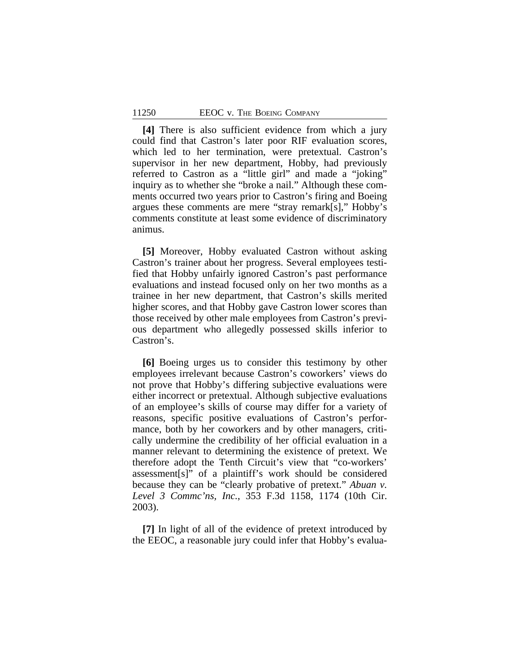**[4]** There is also sufficient evidence from which a jury could find that Castron's later poor RIF evaluation scores, which led to her termination, were pretextual. Castron's supervisor in her new department, Hobby, had previously referred to Castron as a "little girl" and made a "joking" inquiry as to whether she "broke a nail." Although these comments occurred two years prior to Castron's firing and Boeing argues these comments are mere "stray remark[s]," Hobby's comments constitute at least some evidence of discriminatory animus.

**[5]** Moreover, Hobby evaluated Castron without asking Castron's trainer about her progress. Several employees testified that Hobby unfairly ignored Castron's past performance evaluations and instead focused only on her two months as a trainee in her new department, that Castron's skills merited higher scores, and that Hobby gave Castron lower scores than those received by other male employees from Castron's previous department who allegedly possessed skills inferior to Castron's.

**[6]** Boeing urges us to consider this testimony by other employees irrelevant because Castron's coworkers' views do not prove that Hobby's differing subjective evaluations were either incorrect or pretextual. Although subjective evaluations of an employee's skills of course may differ for a variety of reasons, specific positive evaluations of Castron's performance, both by her coworkers and by other managers, critically undermine the credibility of her official evaluation in a manner relevant to determining the existence of pretext. We therefore adopt the Tenth Circuit's view that "co-workers' assessment[s]" of a plaintiff's work should be considered because they can be "clearly probative of pretext." *Abuan v. Level 3 Commc'ns, Inc.*, 353 F.3d 1158, 1174 (10th Cir. 2003).

**[7]** In light of all of the evidence of pretext introduced by the EEOC, a reasonable jury could infer that Hobby's evalua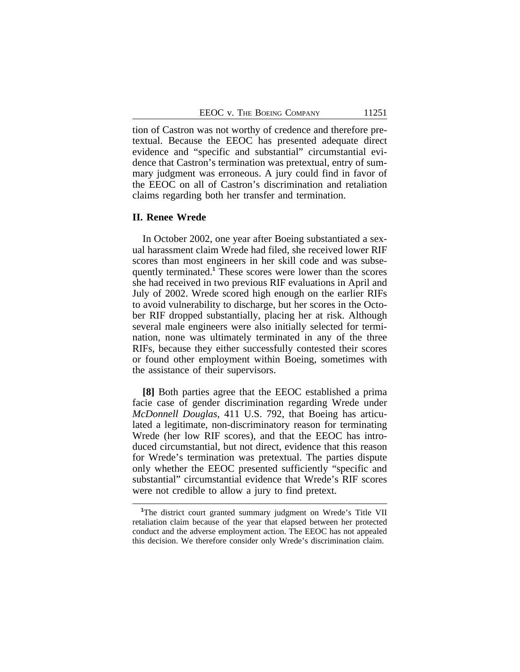tion of Castron was not worthy of credence and therefore pretextual. Because the EEOC has presented adequate direct evidence and "specific and substantial" circumstantial evidence that Castron's termination was pretextual, entry of summary judgment was erroneous. A jury could find in favor of the EEOC on all of Castron's discrimination and retaliation claims regarding both her transfer and termination.

#### **II. Renee Wrede**

In October 2002, one year after Boeing substantiated a sexual harassment claim Wrede had filed, she received lower RIF scores than most engineers in her skill code and was subsequently terminated.**<sup>1</sup>** These scores were lower than the scores she had received in two previous RIF evaluations in April and July of 2002. Wrede scored high enough on the earlier RIFs to avoid vulnerability to discharge, but her scores in the October RIF dropped substantially, placing her at risk. Although several male engineers were also initially selected for termination, none was ultimately terminated in any of the three RIFs, because they either successfully contested their scores or found other employment within Boeing, sometimes with the assistance of their supervisors.

**[8]** Both parties agree that the EEOC established a prima facie case of gender discrimination regarding Wrede under *McDonnell Douglas*, 411 U.S. 792, that Boeing has articulated a legitimate, non-discriminatory reason for terminating Wrede (her low RIF scores), and that the EEOC has introduced circumstantial, but not direct, evidence that this reason for Wrede's termination was pretextual. The parties dispute only whether the EEOC presented sufficiently "specific and substantial" circumstantial evidence that Wrede's RIF scores were not credible to allow a jury to find pretext.

**<sup>1</sup>**The district court granted summary judgment on Wrede's Title VII retaliation claim because of the year that elapsed between her protected conduct and the adverse employment action. The EEOC has not appealed this decision. We therefore consider only Wrede's discrimination claim.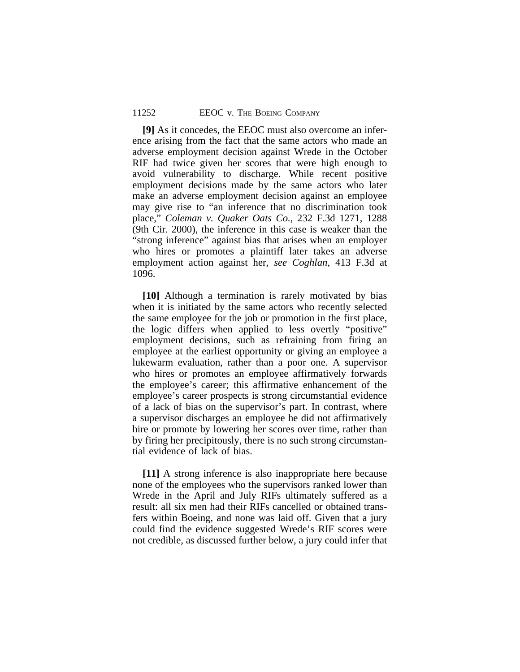**[9]** As it concedes, the EEOC must also overcome an inference arising from the fact that the same actors who made an adverse employment decision against Wrede in the October RIF had twice given her scores that were high enough to avoid vulnerability to discharge. While recent positive employment decisions made by the same actors who later make an adverse employment decision against an employee may give rise to "an inference that no discrimination took place," *Coleman v. Quaker Oats Co.*, 232 F.3d 1271, 1288 (9th Cir. 2000), the inference in this case is weaker than the "strong inference" against bias that arises when an employer who hires or promotes a plaintiff later takes an adverse employment action against her, *see Coghlan*, 413 F.3d at 1096.

**[10]** Although a termination is rarely motivated by bias when it is initiated by the same actors who recently selected the same employee for the job or promotion in the first place, the logic differs when applied to less overtly "positive" employment decisions, such as refraining from firing an employee at the earliest opportunity or giving an employee a lukewarm evaluation, rather than a poor one. A supervisor who hires or promotes an employee affirmatively forwards the employee's career; this affirmative enhancement of the employee's career prospects is strong circumstantial evidence of a lack of bias on the supervisor's part. In contrast, where a supervisor discharges an employee he did not affirmatively hire or promote by lowering her scores over time, rather than by firing her precipitously, there is no such strong circumstantial evidence of lack of bias.

**[11]** A strong inference is also inappropriate here because none of the employees who the supervisors ranked lower than Wrede in the April and July RIFs ultimately suffered as a result: all six men had their RIFs cancelled or obtained transfers within Boeing, and none was laid off. Given that a jury could find the evidence suggested Wrede's RIF scores were not credible, as discussed further below, a jury could infer that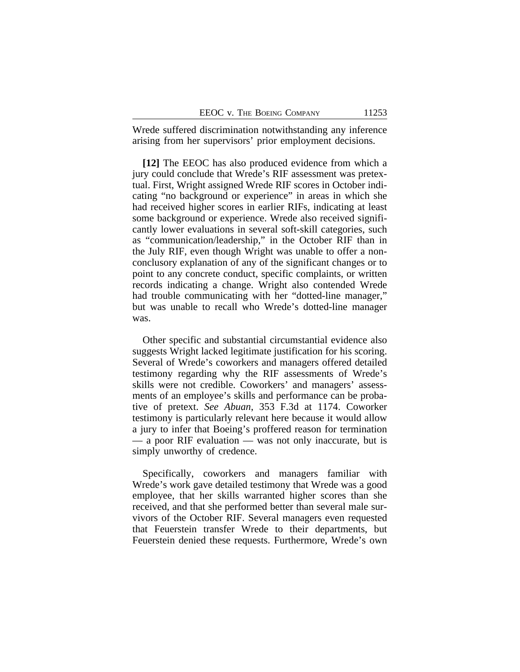Wrede suffered discrimination notwithstanding any inference arising from her supervisors' prior employment decisions.

**[12]** The EEOC has also produced evidence from which a jury could conclude that Wrede's RIF assessment was pretextual. First, Wright assigned Wrede RIF scores in October indicating "no background or experience" in areas in which she had received higher scores in earlier RIFs, indicating at least some background or experience. Wrede also received significantly lower evaluations in several soft-skill categories, such as "communication/leadership," in the October RIF than in the July RIF, even though Wright was unable to offer a nonconclusory explanation of any of the significant changes or to point to any concrete conduct, specific complaints, or written records indicating a change. Wright also contended Wrede had trouble communicating with her "dotted-line manager," but was unable to recall who Wrede's dotted-line manager was.

Other specific and substantial circumstantial evidence also suggests Wright lacked legitimate justification for his scoring. Several of Wrede's coworkers and managers offered detailed testimony regarding why the RIF assessments of Wrede's skills were not credible. Coworkers' and managers' assessments of an employee's skills and performance can be probative of pretext. *See Abuan*, 353 F.3d at 1174. Coworker testimony is particularly relevant here because it would allow a jury to infer that Boeing's proffered reason for termination — a poor RIF evaluation — was not only inaccurate, but is simply unworthy of credence.

Specifically, coworkers and managers familiar with Wrede's work gave detailed testimony that Wrede was a good employee, that her skills warranted higher scores than she received, and that she performed better than several male survivors of the October RIF. Several managers even requested that Feuerstein transfer Wrede to their departments, but Feuerstein denied these requests. Furthermore, Wrede's own